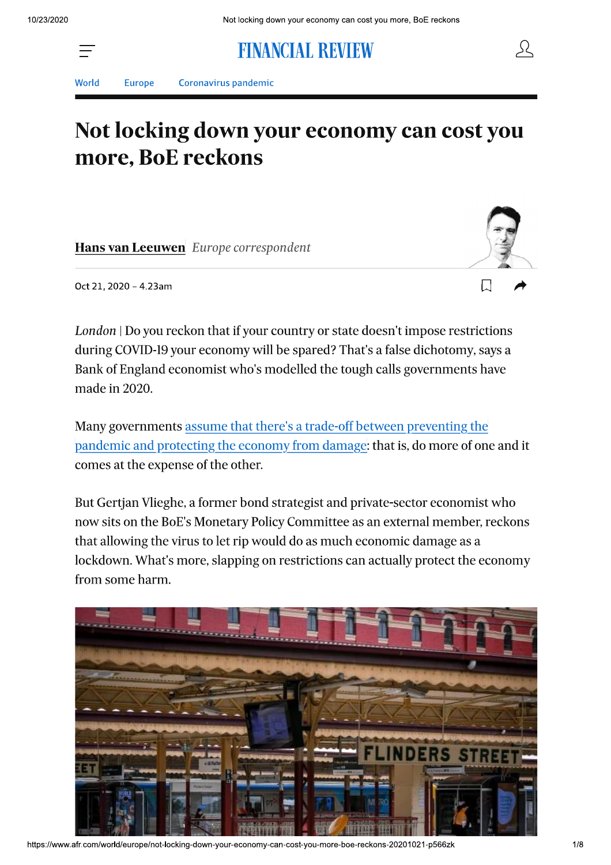

**FINANCIAL REVIEW** 



**Europe** Coronavirus pandemic

# Not locking down your economy can cost you more, BoE reckons

Hans van Leeuwen Europe correspondent



55

Oct 21, 2020 - 4.23am

London | Do you reckon that if your country or state doesn't impose restrictions during COVID-19 your economy will be spared? That's a false dichotomy, says a Bank of England economist who's modelled the tough calls governments have made in 2020.

Many governments assume that there's a trade-off between preventing the pandemic and protecting the economy from damage: that is, do more of one and it comes at the expense of the other.

But Gertjan Vlieghe, a former bond strategist and private-sector economist who now sits on the BoE's Monetary Policy Committee as an external member, reckons that allowing the virus to let rip would do as much economic damage as a lockdown. What's more, slapping on restrictions can actually protect the economy from some harm.



https://www.afr.com/world/europe/not-locking-down-your-economy-can-cost-you-more-boe-reckons-20201021-p566zk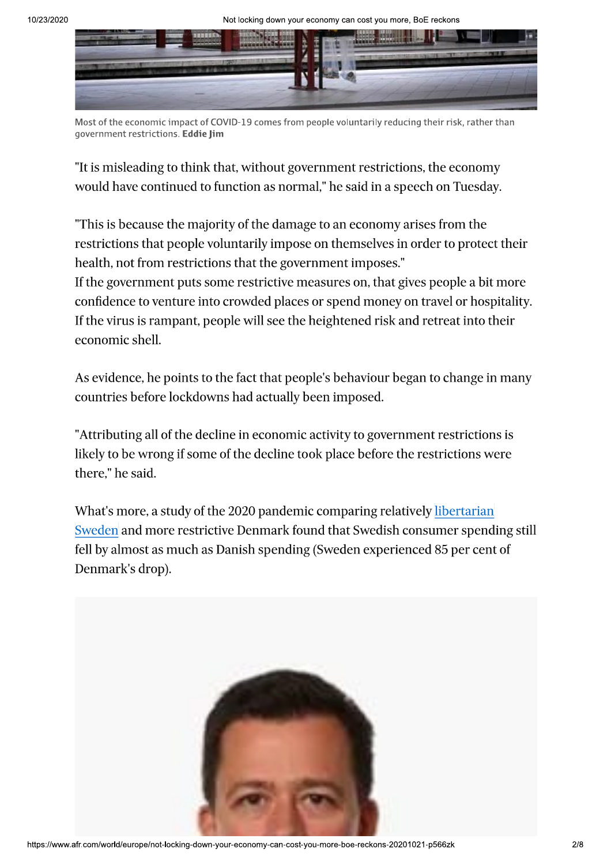

Most of the economic impact of COVID-19 comes from people voluntarily reducing their risk, rather than government restrictions. Eddie Jim

"It is misleading to think that, without government restrictions, the economy would have continued to function as normal," he said in a speech on Tuesday.

"This is because the majority of the damage to an economy arises from the restrictions that people voluntarily impose on themselves in order to protect their health, not from restrictions that the government imposes."

If the government puts some restrictive measures on, that gives people a bit more confidence to venture into crowded places or spend money on travel or hospitality. If the virus is rampant, people will see the heightened risk and retreat into their economic shell.

As evidence, he points to the fact that people's behaviour began to change in many countries before lockdowns had actually been imposed.

"Attributing all of the decline in economic activity to government restrictions is likely to be wrong if some of the decline took place before the restrictions were there," he said.

What's more, a study of the 2020 pandemic comparing relatively libertarian Sweden and more restrictive Denmark found that Swedish consumer spending still fell by almost as much as Danish spending (Sweden experienced 85 per cent of Denmark's drop).

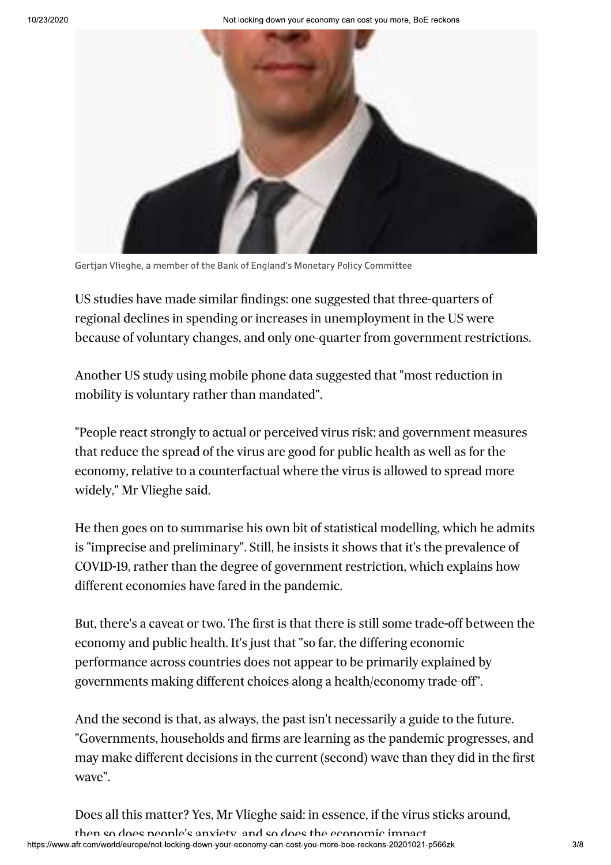Not locking down your economy can cost you more, BoE reckons



Gertjan Vlieghe, a member of the Bank of England's Monetary Policy Committee

US studies have made similar findings: one suggested that three-quarters of regional declines in spending or increases in unemployment in the US were because of voluntary changes, and only one-quarter from government restrictions.

Another US study using mobile phone data suggested that "most reduction in mobility is voluntary rather than mandated".

"People react strongly to actual or perceived virus risk; and government measures that reduce the spread of the virus are good for public health as well as for the economy, relative to a counterfactual where the virus is allowed to spread more widely," Mr Vlieghe said.

He then goes on to summarise his own bit of statistical modelling, which he admits is "imprecise and preliminary". Still, he insists it shows that it's the prevalence of COVID-19, rather than the degree of government restriction, which explains how different economies have fared in the pandemic.

But, there's a caveat or two. The first is that there is still some trade-off between the economy and public health. It's just that "so far, the differing economic performance across countries does not appear to be primarily explained by governments making different choices along a health/economy trade-off".

And the second is that, as always, the past isn't necessarily a guide to the future. "Governments, households and firms are learning as the pandemic progresses, and may make different decisions in the current (second) wave than they did in the first waye".

Does all this matter? Yes, Mr Vlieghe said: in essence, if the virus sticks around,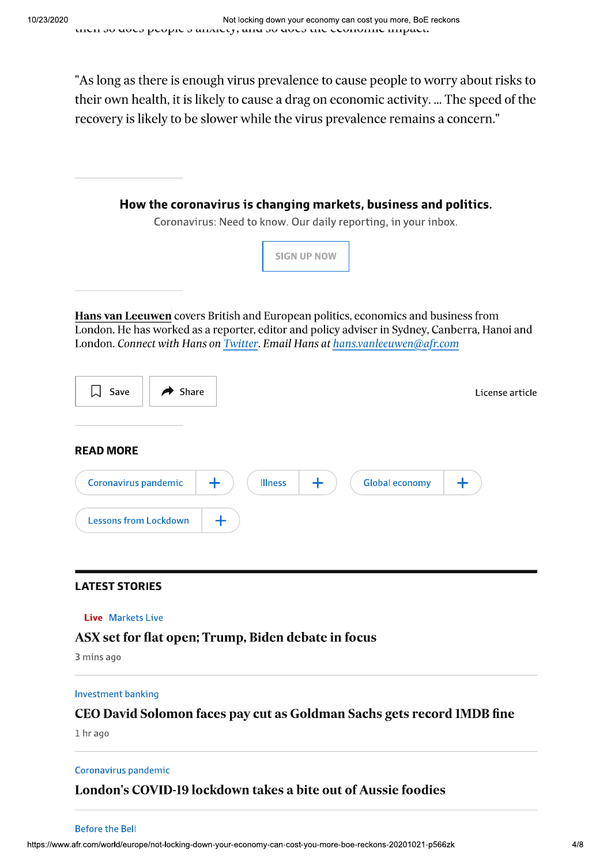"As long as there is enough virus prevalence to cause people to worry about risks to their own health, it is likely to cause a drag on economic activity. ... The speed of the recovery is likely to be slower while the virus prevalence remains a concern."



# **LATEST STORIES**

## **Live** Markets Live

# ASX set for flat open; Trump, Biden debate in focus

3 mins ago

## **Investment banking**

# CEO David Solomon faces pay cut as Goldman Sachs gets record 1MDB fine

1 hr ago

## Coronavirus pandemic

# London's COVID-19 lockdown takes a bite out of Aussie foodies

#### **Before the Bell**

https://www.afr.com/world/europe/not-locking-down-your-economy-can-cost-you-more-boe-reckons-20201021-p566zk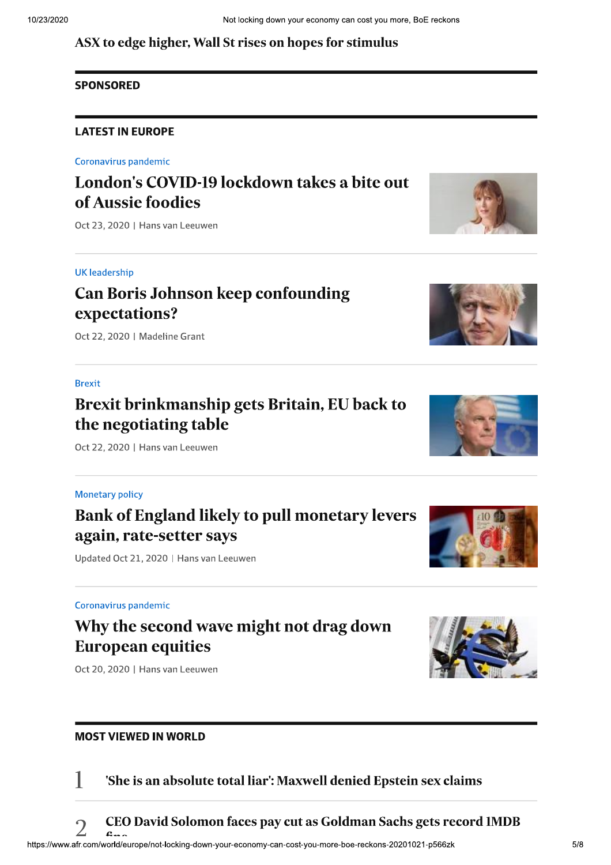# ASX to edge higher, Wall St rises on hopes for stimulus

# **SPONSORED**

# ASX to edge higher, Wall St rises on hopes for stimulus<br> **SPONSORED**<br>
LATEST IN EUROPE<br>Coronavirus pandemic<br> **LONdON'S COVID-19 lockdown takes a bite out**<br> **of Aussie foodies**<br>
Oct 23, 2020 | Hans van Leeuwen

#### UK leadership

# Can Boris Johnson keep confounding expectations?

Oct 22, 2020 | Madeline Grant

#### **Brexit**

# Brexit brinkmanship gets Britain, EU back to the negotiating table

 $Oct$  22, 2020 | Hans van Leeuwen

#### Monetary policy

# Bank of England likely to pull monetary levers again, rate-setter says

Updated Oct 21, 2020 | Hans van Leeuwen

#### Coronavirus pandemic

# Why the second wave might not drag down European equities

Oct 20, 2020 | Hans van Leeuwen

## **MOST VIEWED IN WORLD**



 $\Box$  She is an absolute total liar': Maxwell denied Epstein sex claims







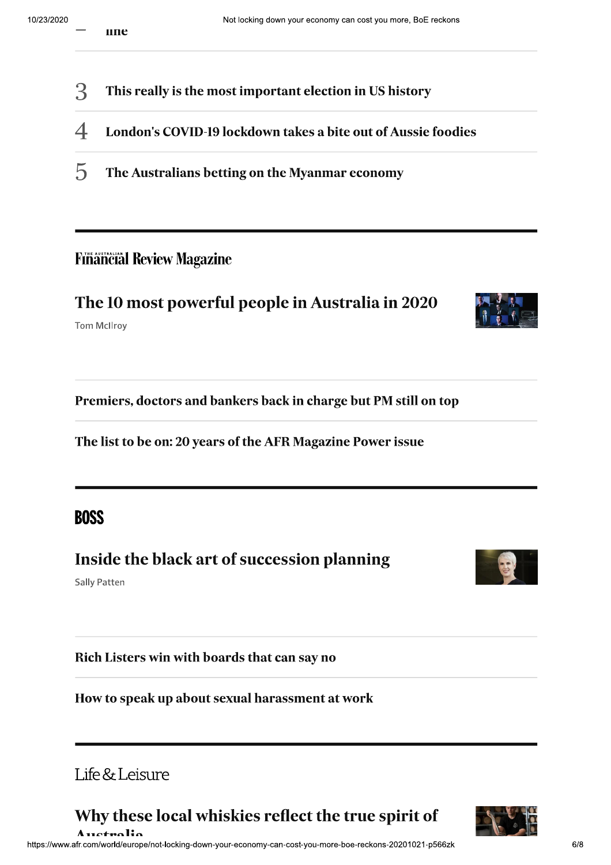- 3 This really is the most important election in US history
- $\overline{\mathcal{A}}$ London's COVID-19 lockdown takes a bite out of Aussie foodies
- 5 The Australians betting on the Myanmar economy

# **Financial Review Magazine**

# The 10 most powerful people in Australia in 2020

**Tom McIlroy** 

Premiers, doctors and bankers back in charge but PM still on top

The list to be on: 20 years of the AFR Magazine Power issue

**BOSS** 

# Inside the black art of succession planning

**Sally Patten** 

Rich Listers win with boards that can say no

How to speak up about sexual harassment at work

# Life & Leisure

Why these local whiskies reflect the true spirit of



 $Arctialio$ https://www.afr.com/world/europe/not-locking-down-your-economy-can-cost-you-more-boe-reckons-20201021-p566zk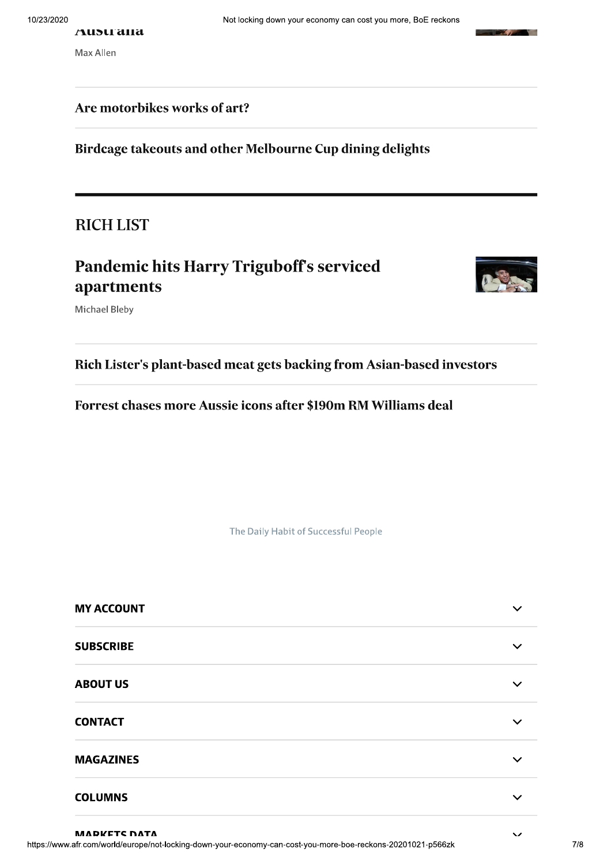#### Austrana

Max Allen

# Are motorbikes works of art?

Birdcage takeouts and other Melbourne Cup dining delights

**RICH LIST** 

# **Pandemic hits Harry Triguboff's serviced** apartments



**247.70** 

**The Second Second** 

Michael Bleby

Rich Lister's plant-based meat gets backing from Asian-based investors

Forrest chases more Aussie icons after \$190m RM Williams deal

The Daily Habit of Successful People

| <b>MY ACCOUNT</b> |              |
|-------------------|--------------|
| <b>SUBSCRIBE</b>  |              |
| <b>ABOUT US</b>   |              |
| <b>CONTACT</b>    | $\checkmark$ |
| <b>MAGAZINES</b>  |              |
| <b>COLUMNS</b>    |              |

**MADKETS DATA** 

 $\overline{\phantom{a}}$